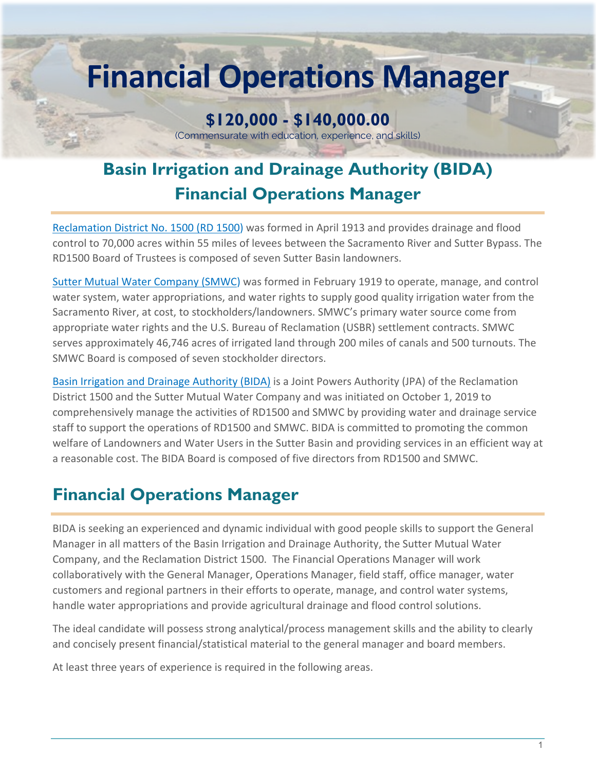# **Financial Operations Manager**

# **\$120,000 - \$140,000.00**

(Commensurate with education, experience, and skills)

# **Basin Irrigation and Drainage Authority (BIDA) Financial Operations Manager**

[Reclamation District No. 1500 \(RD 1500\)](https://sutterbasinwater.com/about/reclamation-district-1500/) was formed in April 1913 and provides drainage and flood control to 70,000 acres within 55 miles of levees between the Sacramento River and Sutter Bypass. The RD1500 Board of Trustees is composed of seven Sutter Basin landowners.

[Sutter Mutual Water Company \(SMWC\)](https://sutterbasinwater.com/about/sutter-mutual-water-company/) was formed in February 1919 to operate, manage, and control water system, water appropriations, and water rights to supply good quality irrigation water from the Sacramento River, at cost, to stockholders/landowners. SMWC's primary water source come from appropriate water rights and the U.S. Bureau of Reclamation (USBR) settlement contracts. SMWC serves approximately 46,746 acres of irrigated land through 200 miles of canals and 500 turnouts. The SMWC Board is composed of seven stockholder directors.

[Basin Irrigation and Drainage Authority \(BIDA\)](https://sutterbasinwater.com/about/basin-irrigation-and-drainage-authority/) is a Joint Powers Authority (JPA) of the Reclamation District 1500 and the Sutter Mutual Water Company and was initiated on October 1, 2019 to comprehensively manage the activities of RD1500 and SMWC by providing water and drainage service staff to support the operations of RD1500 and SMWC. BIDA is committed to promoting the common welfare of Landowners and Water Users in the Sutter Basin and providing services in an efficient way at a reasonable cost. The BIDA Board is composed of five directors from RD1500 and SMWC.

## **Financial Operations Manager**

BIDA is seeking an experienced and dynamic individual with good people skills to support the General Manager in all matters of the Basin Irrigation and Drainage Authority, the Sutter Mutual Water Company, and the Reclamation District 1500. The Financial Operations Manager will work collaboratively with the General Manager, Operations Manager, field staff, office manager, water customers and regional partners in their efforts to operate, manage, and control water systems, handle water appropriations and provide agricultural drainage and flood control solutions.

The ideal candidate will possess strong analytical/process management skills and the ability to clearly and concisely present financial/statistical material to the general manager and board members.

At least three years of experience is required in the following areas.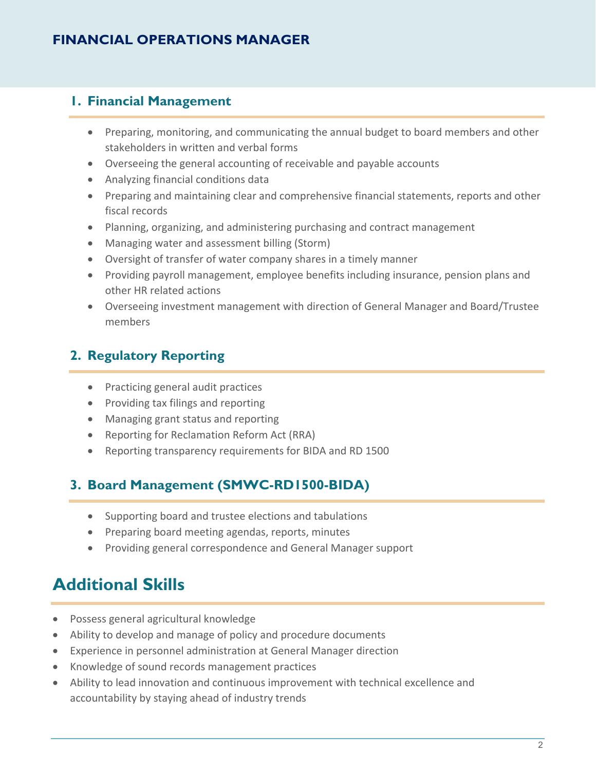#### **1. Financial Management**

- Preparing, monitoring, and communicating the annual budget to board members and other stakeholders in written and verbal forms
- Overseeing the general accounting of receivable and payable accounts
- Analyzing financial conditions data
- Preparing and maintaining clear and comprehensive financial statements, reports and other fiscal records
- Planning, organizing, and administering purchasing and contract management
- Managing water and assessment billing (Storm)
- Oversight of transfer of water company shares in a timely manner
- Providing payroll management, employee benefits including insurance, pension plans and other HR related actions
- Overseeing investment management with direction of General Manager and Board/Trustee members

## **2. Regulatory Reporting**

- Practicing general audit practices
- Providing tax filings and reporting
- Managing grant status and reporting
- Reporting for Reclamation Reform Act (RRA)
- Reporting transparency requirements for BIDA and RD 1500

#### **3. Board Management (SMWC-RD1500-BIDA)**

- Supporting board and trustee elections and tabulations
- Preparing board meeting agendas, reports, minutes
- Providing general correspondence and General Manager support

## **Additional Skills**

- Possess general agricultural knowledge
- Ability to develop and manage of policy and procedure documents
- Experience in personnel administration at General Manager direction
- Knowledge of sound records management practices
- Ability to lead innovation and continuous improvement with technical excellence and accountability by staying ahead of industry trends